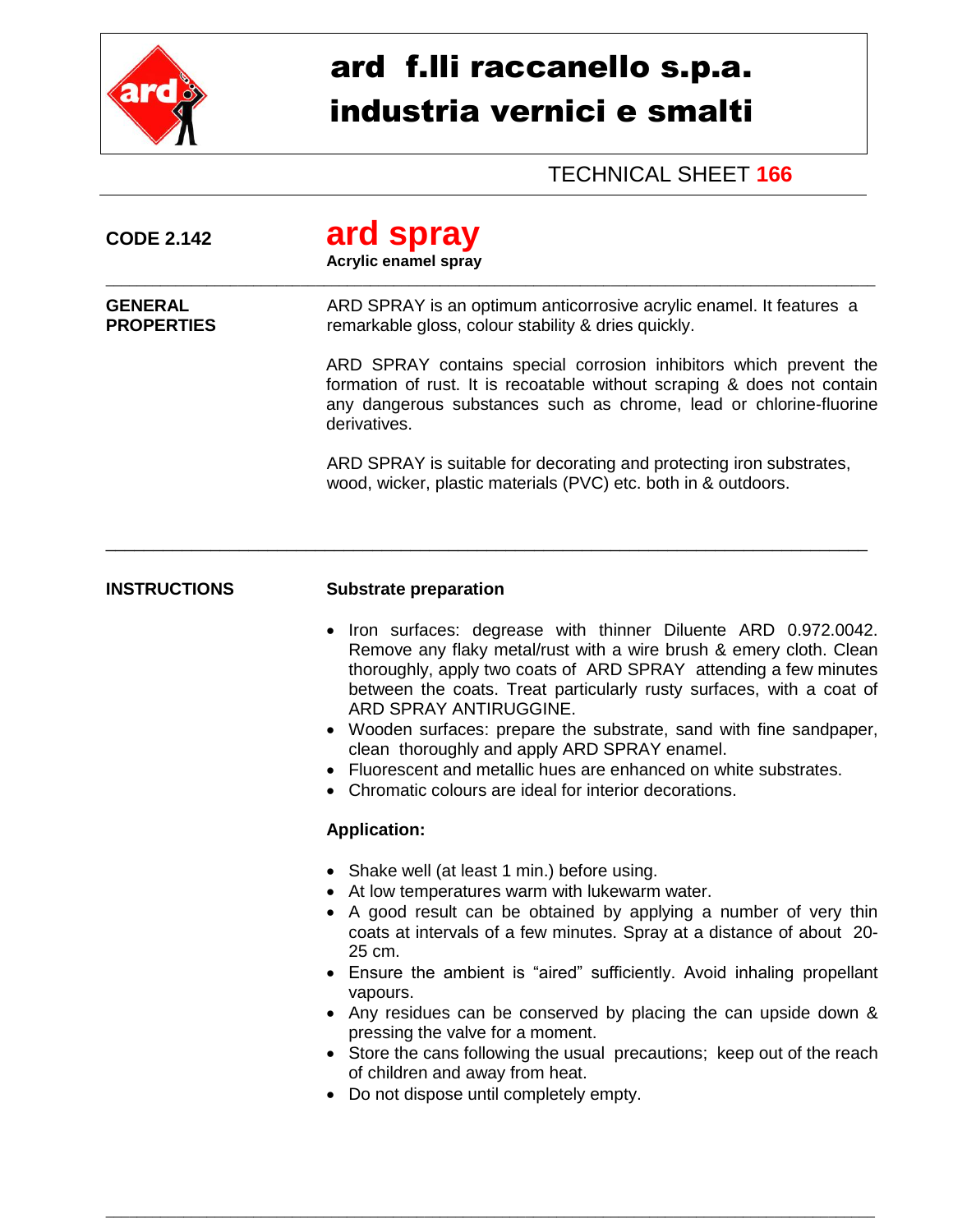

## ard f.lli raccanello s.p.a. industria vernici e smalti

## TECHNICAL SHEET **166**

| <b>CODE 2.142</b>                   | ard spray<br><b>Acrylic enamel spray</b>                                                                                                                                                                                                                                                                                                                                                                                                                                                                                                                                                                                |  |  |
|-------------------------------------|-------------------------------------------------------------------------------------------------------------------------------------------------------------------------------------------------------------------------------------------------------------------------------------------------------------------------------------------------------------------------------------------------------------------------------------------------------------------------------------------------------------------------------------------------------------------------------------------------------------------------|--|--|
| <b>GENERAL</b><br><b>PROPERTIES</b> | ARD SPRAY is an optimum anticorrosive acrylic enamel. It features a<br>remarkable gloss, colour stability & dries quickly.                                                                                                                                                                                                                                                                                                                                                                                                                                                                                              |  |  |
|                                     | ARD SPRAY contains special corrosion inhibitors which prevent the<br>formation of rust. It is recoatable without scraping & does not contain<br>any dangerous substances such as chrome, lead or chlorine-fluorine<br>derivatives.                                                                                                                                                                                                                                                                                                                                                                                      |  |  |
|                                     | ARD SPRAY is suitable for decorating and protecting iron substrates,<br>wood, wicker, plastic materials (PVC) etc. both in & outdoors.                                                                                                                                                                                                                                                                                                                                                                                                                                                                                  |  |  |
| <b>INSTRUCTIONS</b>                 | <b>Substrate preparation</b>                                                                                                                                                                                                                                                                                                                                                                                                                                                                                                                                                                                            |  |  |
|                                     | Iron surfaces: degrease with thinner Diluente ARD 0.972.0042.<br>$\bullet$<br>Remove any flaky metal/rust with a wire brush & emery cloth. Clean<br>thoroughly, apply two coats of ARD SPRAY attending a few minutes<br>between the coats. Treat particularly rusty surfaces, with a coat of<br>ARD SPRAY ANTIRUGGINE.<br>Wooden surfaces: prepare the substrate, sand with fine sandpaper,<br>clean thoroughly and apply ARD SPRAY enamel.<br>• Fluorescent and metallic hues are enhanced on white substrates.<br>Chromatic colours are ideal for interior decorations.                                               |  |  |
|                                     | <b>Application:</b>                                                                                                                                                                                                                                                                                                                                                                                                                                                                                                                                                                                                     |  |  |
|                                     | • Shake well (at least 1 min.) before using.<br>• At low temperatures warm with lukewarm water.<br>A good result can be obtained by applying a number of very thin<br>coats at intervals of a few minutes. Spray at a distance of about 20-<br>25 cm.<br>• Ensure the ambient is "aired" sufficiently. Avoid inhaling propellant<br>vapours.<br>• Any residues can be conserved by placing the can upside down &<br>pressing the valve for a moment.<br>Store the cans following the usual precautions; keep out of the reach<br>of children and away from heat.<br>Do not dispose until completely empty.<br>$\bullet$ |  |  |

\_\_\_\_\_\_\_\_\_\_\_\_\_\_\_\_\_\_\_\_\_\_\_\_\_\_\_\_\_\_\_\_\_\_\_\_\_\_\_\_\_\_\_\_\_\_\_\_\_\_\_\_\_\_\_\_\_\_\_\_\_\_\_\_\_\_\_\_\_\_\_\_\_\_\_\_\_\_\_\_\_\_\_\_\_\_\_\_\_\_\_\_\_\_\_\_\_\_\_